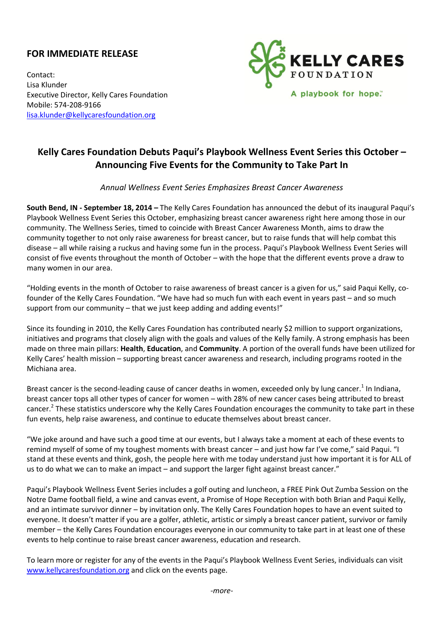## **FOR IMMEDIATE RELEASE**

Contact: Lisa Klunder Executive Director, Kelly Cares Foundation Mobile: 574-208-9166 [lisa.klunder@kellycaresfoundation.org](mailto:lisa.klunder@kellycaresfoundation.org)



## **Kelly Cares Foundation Debuts Paqui's Playbook Wellness Event Series this October – Announcing Five Events for the Community to Take Part In**

*Annual Wellness Event Series Emphasizes Breast Cancer Awareness*

**South Bend, IN - September 18, 2014 –** The Kelly Cares Foundation has announced the debut of its inaugural Paqui's Playbook Wellness Event Series this October, emphasizing breast cancer awareness right here among those in our community. The Wellness Series, timed to coincide with Breast Cancer Awareness Month, aims to draw the community together to not only raise awareness for breast cancer, but to raise funds that will help combat this disease – all while raising a ruckus and having some fun in the process. Paqui's Playbook Wellness Event Series will consist of five events throughout the month of October – with the hope that the different events prove a draw to many women in our area.

"Holding events in the month of October to raise awareness of breast cancer is a given for us," said Paqui Kelly, cofounder of the Kelly Cares Foundation. "We have had so much fun with each event in years past – and so much support from our community – that we just keep adding and adding events!"

Since its founding in 2010, the Kelly Cares Foundation has contributed nearly \$2 million to support organizations, initiatives and programs that closely align with the goals and values of the Kelly family. A strong emphasis has been made on three main pillars: **Health**, **Education**, and **Community**. A portion of the overall funds have been utilized for Kelly Cares' health mission – supporting breast cancer awareness and research, including programs rooted in the Michiana area.

Breast cancer is the second-leading cause of cancer deaths in women, exceeded only by lung cancer.<sup>1</sup> In Indiana, breast cancer tops all other types of cancer for women – with 28% of new cancer cases being attributed to breast cancer.<sup>2</sup> These statistics underscore why the Kelly Cares Foundation encourages the community to take part in these fun events, help raise awareness, and continue to educate themselves about breast cancer.

"We joke around and have such a good time at our events, but I always take a moment at each of these events to remind myself of some of my toughest moments with breast cancer – and just how far I've come," said Paqui. "I stand at these events and think, gosh, the people here with me today understand just how important it is for ALL of us to do what we can to make an impact – and support the larger fight against breast cancer."

Paqui's Playbook Wellness Event Series includes a golf outing and luncheon, a FREE Pink Out Zumba Session on the Notre Dame football field, a wine and canvas event, a Promise of Hope Reception with both Brian and Paqui Kelly, and an intimate survivor dinner – by invitation only. The Kelly Cares Foundation hopes to have an event suited to everyone. It doesn't matter if you are a golfer, athletic, artistic or simply a breast cancer patient, survivor or family member – the Kelly Cares Foundation encourages everyone in our community to take part in at least one of these events to help continue to raise breast cancer awareness, education and research.

To learn more or register for any of the events in the Paqui's Playbook Wellness Event Series, individuals can visit [www.kellycaresfoundation.org](http://www.kellycaresfoundation.org/) and click on the events page.